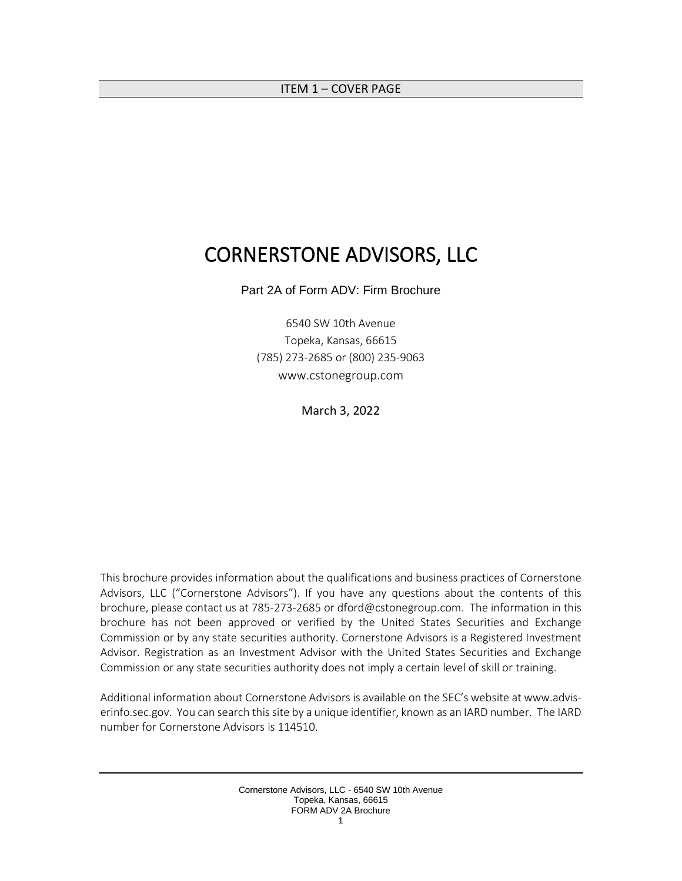#### <span id="page-0-0"></span>ITEM 1 – COVER PAGE

# CORNERSTONE ADVISORS, LLC

Part 2A of Form ADV: Firm Brochure

6540 SW 10th Avenue Topeka, Kansas, 66615 (785) 273-2685 or (800) 235-9063 www.cstonegroup.com

March 3, 2022

This brochure provides information about the qualifications and business practices of Cornerstone Advisors, LLC ("Cornerstone Advisors"). If you have any questions about the contents of this brochure, please contact us at 785-273-2685 or [dford@cstonegroup.com.](mailto:eholt@7258wealth.com) The information in this brochure has not been approved or verified by the United States Securities and Exchange Commission or by any state securities authority. Cornerstone Advisors is a Registered Investment Advisor. Registration as an Investment Advisor with the United States Securities and Exchange Commission or any state securities authority does not imply a certain level of skill or training.

Additional information about Cornerstone Advisors is available on the SEC's website at www.adviserinfo.sec.gov. You can search this site by a unique identifier, known as an IARD number. The IARD number for Cornerstone Advisors is 114510.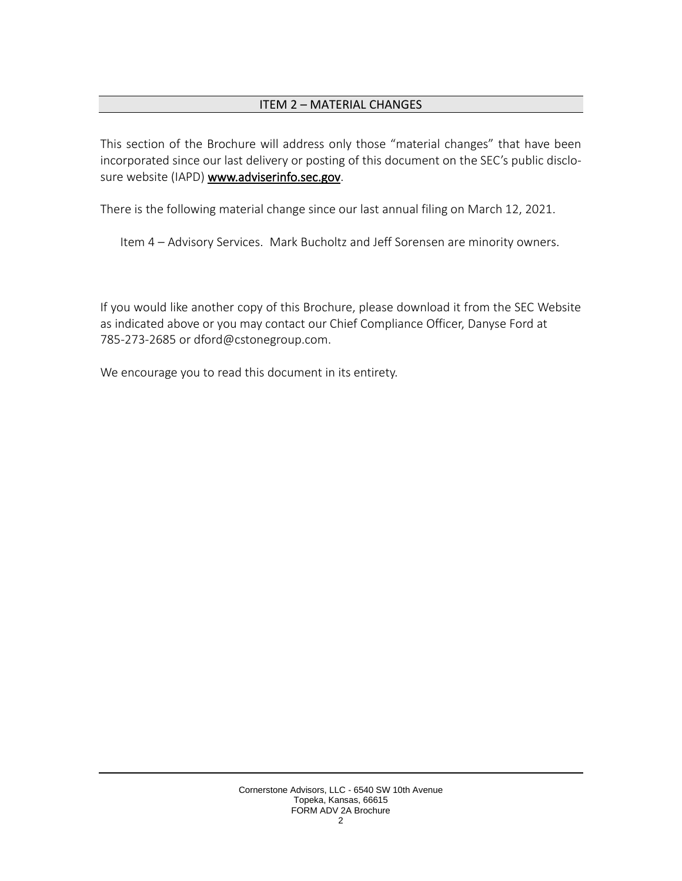### ITEM 2 – MATERIAL CHANGES

<span id="page-1-0"></span>This section of the Brochure will address only those "material changes" that have been incorporated since our last delivery or posting of this document on the SEC's public disclosure website (IAPD) [www.adviserinfo.sec.gov.](http://www.adviserinfo.sec.gov/)

There is the following material change since our last annual filing on March 12, 2021.

Item 4 – Advisory Services. Mark Bucholtz and Jeff Sorensen are minority owners.

If you would like another copy of this Brochure, please download it from the SEC Website as indicated above or you may contact our Chief Compliance Officer, Danyse Ford at 785-273-2685 or dford@cstonegroup.com.

We encourage you to read this document in its entirety.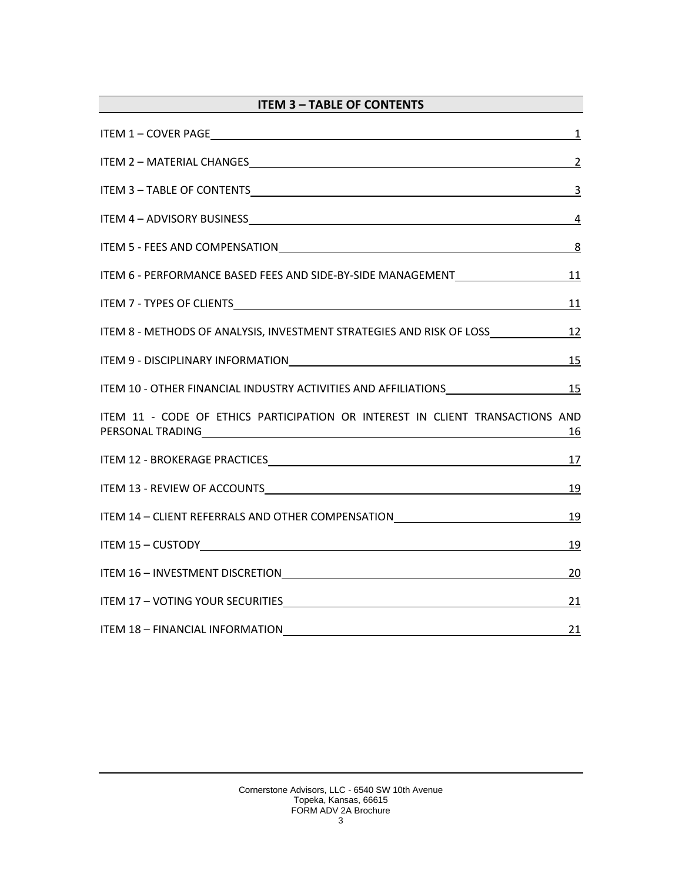<span id="page-2-0"></span>

| <b>ITEM 3 - TABLE OF CONTENTS</b>                                                                                                                                                                                              |                |
|--------------------------------------------------------------------------------------------------------------------------------------------------------------------------------------------------------------------------------|----------------|
| $\frac{1}{2}$                                                                                                                                                                                                                  |                |
|                                                                                                                                                                                                                                |                |
| ITEM 3 - TABLE OF CONTENTS 3                                                                                                                                                                                                   |                |
|                                                                                                                                                                                                                                | $\overline{4}$ |
|                                                                                                                                                                                                                                | <u>8</u>       |
| ITEM 6 - PERFORMANCE BASED FEES AND SIDE-BY-SIDE MANAGEMENT_______________________11                                                                                                                                           |                |
|                                                                                                                                                                                                                                | <u>11</u>      |
| ITEM 8 - METHODS OF ANALYSIS, INVESTMENT STRATEGIES AND RISK OF LOSS____________                                                                                                                                               | 12             |
| ITEM 9 - DISCIPLINARY INFORMATION NATION AND RELEASED AND RELEASED AND RELEASED AND RELEASED AT A RELEASED AND RELEASED AT A RELEASED AND RELEASED AT A RELEASED AND RELEASED AT A RELEASED AND RELEASED AT A RELEASED AND REL | <u>15</u>      |
| ITEM 10 - OTHER FINANCIAL INDUSTRY ACTIVITIES AND AFFILIATIONS MANUSCREE AND ASSESSMENT RESERVED TO A 15                                                                                                                       |                |
| ITEM 11 - CODE OF ETHICS PARTICIPATION OR INTEREST IN CLIENT TRANSACTIONS AND                                                                                                                                                  | <u>16</u>      |
|                                                                                                                                                                                                                                | <u>17</u>      |
| ITEM 13 - REVIEW OF ACCOUNTS <b>ACCOUNTS EXAMPLE ACCOUNTS EXAMPLE ACCOUNTS EXAMPLE ACCOUNTS EXAMPLE ACCOUNTS</b>                                                                                                               | 19             |
| ITEM 14 - CLIENT REFERRALS AND OTHER COMPENSATION                                                                                                                                                                              | 19             |
|                                                                                                                                                                                                                                | <u>19</u>      |
| ITEM 16 - INVESTMENT DISCRETION                                                                                                                                                                                                | 20             |
| ITEM 17 - VOTING YOUR SECURITIES <b>And ITEM CONTROL</b>                                                                                                                                                                       | 21             |
| ITEM 18 - FINANCIAL INFORMATION                                                                                                                                                                                                | 21             |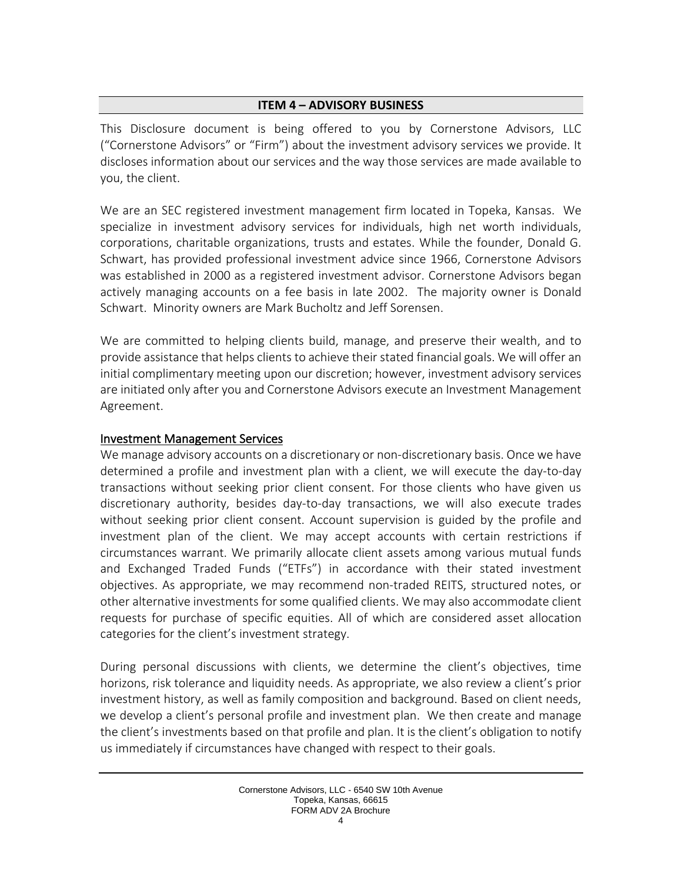#### **ITEM 4 – ADVISORY BUSINESS**

<span id="page-3-0"></span>This Disclosure document is being offered to you by Cornerstone Advisors, LLC ("Cornerstone Advisors" or "Firm") about the investment advisory services we provide. It discloses information about our services and the way those services are made available to you, the client.

We are an SEC registered investment management firm located in Topeka, Kansas. We specialize in investment advisory services for individuals, high net worth individuals, corporations, charitable organizations, trusts and estates. While the founder, Donald G. Schwart, has provided professional investment advice since 1966, Cornerstone Advisors was established in 2000 as a registered investment advisor. Cornerstone Advisors began actively managing accounts on a fee basis in late 2002. The majority owner is Donald Schwart. Minority owners are Mark Bucholtz and Jeff Sorensen.

We are committed to helping clients build, manage, and preserve their wealth, and to provide assistance that helps clients to achieve their stated financial goals. We will offer an initial complimentary meeting upon our discretion; however, investment advisory services are initiated only after you and Cornerstone Advisors execute an Investment Management Agreement.

#### Investment Management Services

We manage advisory accounts on a discretionary or non-discretionary basis. Once we have determined a profile and investment plan with a client, we will execute the day-to-day transactions without seeking prior client consent. For those clients who have given us discretionary authority, besides day-to-day transactions, we will also execute trades without seeking prior client consent. Account supervision is guided by the profile and investment plan of the client. We may accept accounts with certain restrictions if circumstances warrant. We primarily allocate client assets among various mutual funds and Exchanged Traded Funds ("ETFs") in accordance with their stated investment objectives. As appropriate, we may recommend non-traded REITS, structured notes, or other alternative investments for some qualified clients. We may also accommodate client requests for purchase of specific equities. All of which are considered asset allocation categories for the client's investment strategy.

During personal discussions with clients, we determine the client's objectives, time horizons, risk tolerance and liquidity needs. As appropriate, we also review a client's prior investment history, as well as family composition and background. Based on client needs, we develop a client's personal profile and investment plan. We then create and manage the client's investments based on that profile and plan. It is the client's obligation to notify us immediately if circumstances have changed with respect to their goals.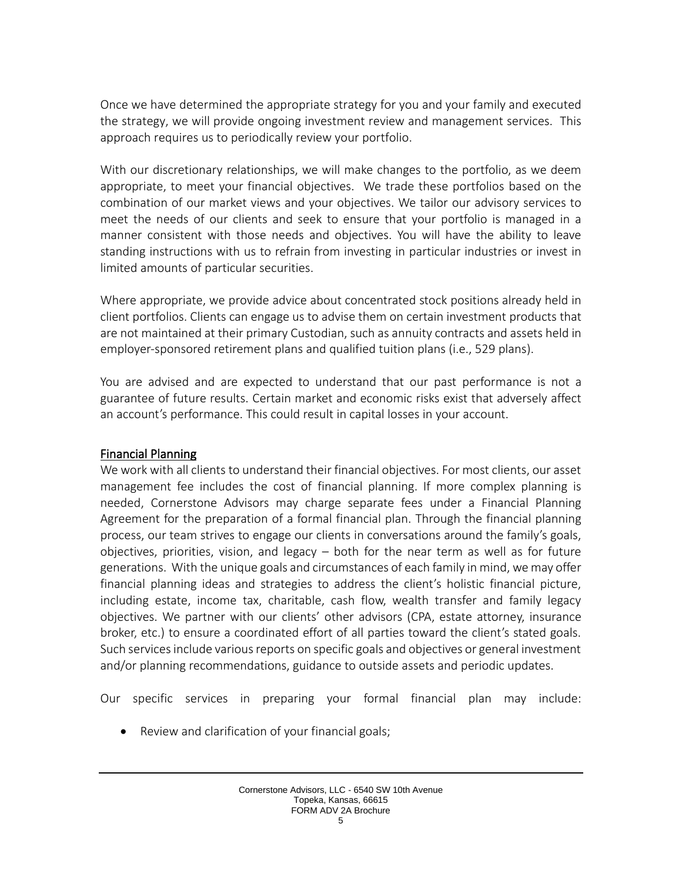Once we have determined the appropriate strategy for you and your family and executed the strategy, we will provide ongoing investment review and management services. This approach requires us to periodically review your portfolio.

With our discretionary relationships, we will make changes to the portfolio, as we deem appropriate, to meet your financial objectives. We trade these portfolios based on the combination of our market views and your objectives. We tailor our advisory services to meet the needs of our clients and seek to ensure that your portfolio is managed in a manner consistent with those needs and objectives. You will have the ability to leave standing instructions with us to refrain from investing in particular industries or invest in limited amounts of particular securities.

Where appropriate, we provide advice about concentrated stock positions already held in client portfolios. Clients can engage us to advise them on certain investment products that are not maintained at their primary Custodian, such as annuity contracts and assets held in employer-sponsored retirement plans and qualified tuition plans (i.e., 529 plans).

You are advised and are expected to understand that our past performance is not a guarantee of future results. Certain market and economic risks exist that adversely affect an account's performance. This could result in capital losses in your account.

### Financial Planning

We work with all clients to understand their financial objectives. For most clients, our asset management fee includes the cost of financial planning. If more complex planning is needed, Cornerstone Advisors may charge separate fees under a Financial Planning Agreement for the preparation of a formal financial plan. Through the financial planning process, our team strives to engage our clients in conversations around the family's goals, objectives, priorities, vision, and legacy – both for the near term as well as for future generations. With the unique goals and circumstances of each family in mind, we may offer financial planning ideas and strategies to address the client's holistic financial picture, including estate, income tax, charitable, cash flow, wealth transfer and family legacy objectives. We partner with our clients' other advisors (CPA, estate attorney, insurance broker, etc.) to ensure a coordinated effort of all parties toward the client's stated goals. Such services include various reports on specific goals and objectives or general investment and/or planning recommendations, guidance to outside assets and periodic updates.

Our specific services in preparing your formal financial plan may include:

• Review and clarification of your financial goals;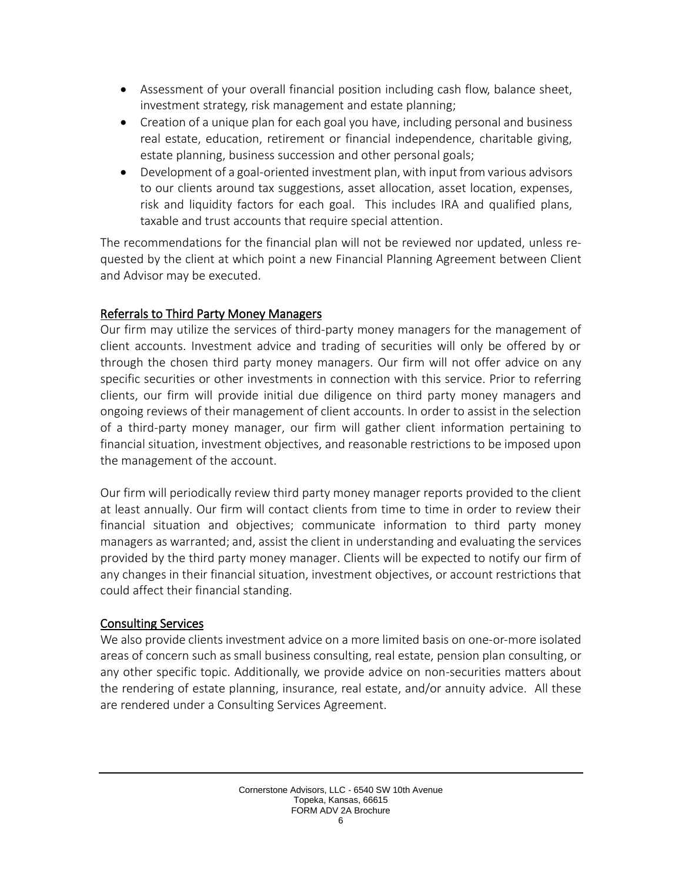- Assessment of your overall financial position including cash flow, balance sheet, investment strategy, risk management and estate planning;
- Creation of a unique plan for each goal you have, including personal and business real estate, education, retirement or financial independence, charitable giving, estate planning, business succession and other personal goals;
- Development of a goal-oriented investment plan, with input from various advisors to our clients around tax suggestions, asset allocation, asset location, expenses, risk and liquidity factors for each goal. This includes IRA and qualified plans, taxable and trust accounts that require special attention.

The recommendations for the financial plan will not be reviewed nor updated, unless requested by the client at which point a new Financial Planning Agreement between Client and Advisor may be executed.

# Referrals to Third Party Money Managers

Our firm may utilize the services of third-party money managers for the management of client accounts. Investment advice and trading of securities will only be offered by or through the chosen third party money managers. Our firm will not offer advice on any specific securities or other investments in connection with this service. Prior to referring clients, our firm will provide initial due diligence on third party money managers and ongoing reviews of their management of client accounts. In order to assist in the selection of a third-party money manager, our firm will gather client information pertaining to financial situation, investment objectives, and reasonable restrictions to be imposed upon the management of the account.

Our firm will periodically review third party money manager reports provided to the client at least annually. Our firm will contact clients from time to time in order to review their financial situation and objectives; communicate information to third party money managers as warranted; and, assist the client in understanding and evaluating the services provided by the third party money manager. Clients will be expected to notify our firm of any changes in their financial situation, investment objectives, or account restrictions that could affect their financial standing.

# Consulting Services

We also provide clients investment advice on a more limited basis on one-or-more isolated areas of concern such as small business consulting, real estate, pension plan consulting, or any other specific topic. Additionally, we provide advice on non-securities matters about the rendering of estate planning, insurance, real estate, and/or annuity advice. All these are rendered under a Consulting Services Agreement.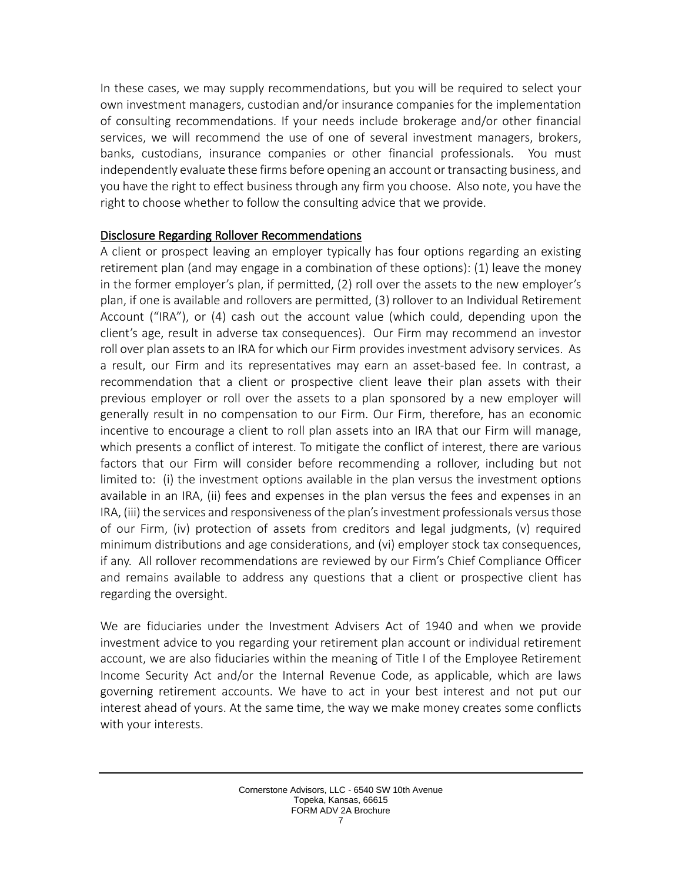In these cases, we may supply recommendations, but you will be required to select your own investment managers, custodian and/or insurance companies for the implementation of consulting recommendations. If your needs include brokerage and/or other financial services, we will recommend the use of one of several investment managers, brokers, banks, custodians, insurance companies or other financial professionals. You must independently evaluate these firms before opening an account or transacting business, and you have the right to effect business through any firm you choose. Also note, you have the right to choose whether to follow the consulting advice that we provide.

### Disclosure Regarding Rollover Recommendations

A client or prospect leaving an employer typically has four options regarding an existing retirement plan (and may engage in a combination of these options): (1) leave the money in the former employer's plan, if permitted, (2) roll over the assets to the new employer's plan, if one is available and rollovers are permitted, (3) rollover to an Individual Retirement Account ("IRA"), or (4) cash out the account value (which could, depending upon the client's age, result in adverse tax consequences). Our Firm may recommend an investor roll over plan assets to an IRA for which our Firm provides investment advisory services. As a result, our Firm and its representatives may earn an asset-based fee. In contrast, a recommendation that a client or prospective client leave their plan assets with their previous employer or roll over the assets to a plan sponsored by a new employer will generally result in no compensation to our Firm. Our Firm, therefore, has an economic incentive to encourage a client to roll plan assets into an IRA that our Firm will manage, which presents a conflict of interest. To mitigate the conflict of interest, there are various factors that our Firm will consider before recommending a rollover, including but not limited to: (i) the investment options available in the plan versus the investment options available in an IRA, (ii) fees and expenses in the plan versus the fees and expenses in an IRA, (iii) the services and responsiveness of the plan's investment professionals versus those of our Firm, (iv) protection of assets from creditors and legal judgments, (v) required minimum distributions and age considerations, and (vi) employer stock tax consequences, if any. All rollover recommendations are reviewed by our Firm's Chief Compliance Officer and remains available to address any questions that a client or prospective client has regarding the oversight.

We are fiduciaries under the Investment Advisers Act of 1940 and when we provide investment advice to you regarding your retirement plan account or individual retirement account, we are also fiduciaries within the meaning of Title I of the Employee Retirement Income Security Act and/or the Internal Revenue Code, as applicable, which are laws governing retirement accounts. We have to act in your best interest and not put our interest ahead of yours. At the same time, the way we make money creates some conflicts with your interests.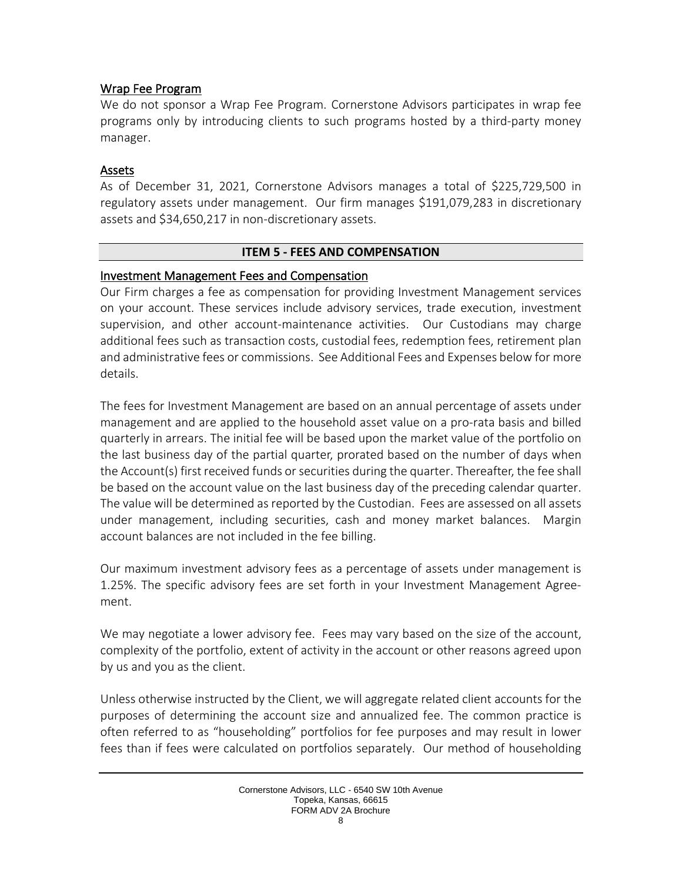### Wrap Fee Program

We do not sponsor a Wrap Fee Program. Cornerstone Advisors participates in wrap fee programs only by introducing clients to such programs hosted by a third-party money manager.

### Assets

As of December 31, 2021, Cornerstone Advisors manages a total of \$225,729,500 in regulatory assets under management. Our firm manages \$191,079,283 in discretionary assets and \$34,650,217 in non-discretionary assets.

### **ITEM 5 - FEES AND COMPENSATION**

### <span id="page-7-0"></span>Investment Management Fees and Compensation

Our Firm charges a fee as compensation for providing Investment Management services on your account. These services include advisory services, trade execution, investment supervision, and other account-maintenance activities. Our Custodians may charge additional fees such as transaction costs, custodial fees, redemption fees, retirement plan and administrative fees or commissions. See Additional Fees and Expenses below for more details.

The fees for Investment Management are based on an annual percentage of assets under management and are applied to the household asset value on a pro-rata basis and billed quarterly in arrears. The initial fee will be based upon the market value of the portfolio on the last business day of the partial quarter, prorated based on the number of days when the Account(s) first received funds or securities during the quarter. Thereafter, the fee shall be based on the account value on the last business day of the preceding calendar quarter. The value will be determined as reported by the Custodian. Fees are assessed on all assets under management, including securities, cash and money market balances. Margin account balances are not included in the fee billing.

Our maximum investment advisory fees as a percentage of assets under management is 1.25%. The specific advisory fees are set forth in your Investment Management Agreement.

We may negotiate a lower advisory fee. Fees may vary based on the size of the account, complexity of the portfolio, extent of activity in the account or other reasons agreed upon by us and you as the client.

Unless otherwise instructed by the Client, we will aggregate related client accounts for the purposes of determining the account size and annualized fee. The common practice is often referred to as "householding" portfolios for fee purposes and may result in lower fees than if fees were calculated on portfolios separately. Our method of householding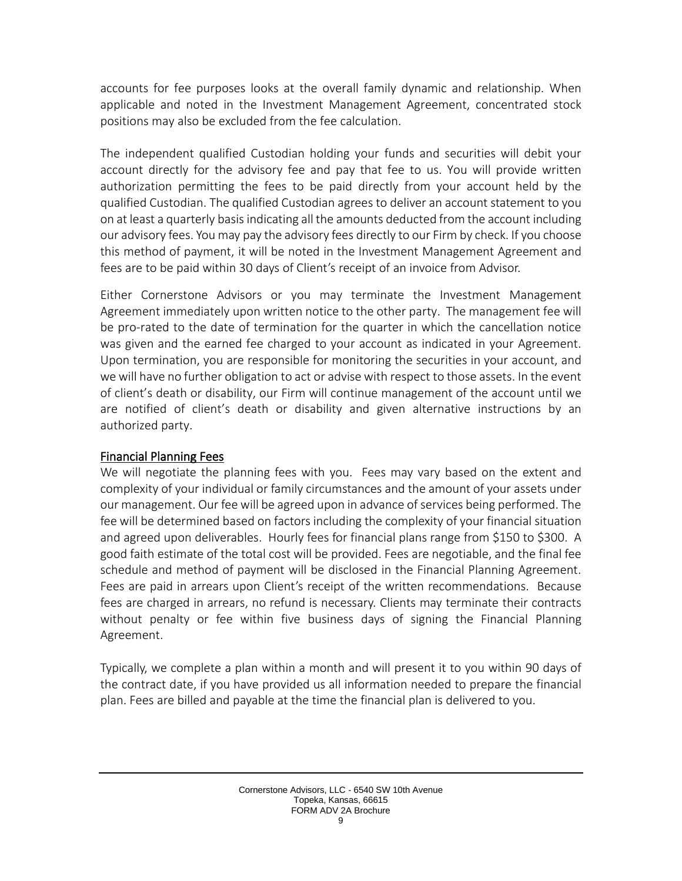accounts for fee purposes looks at the overall family dynamic and relationship. When applicable and noted in the Investment Management Agreement, concentrated stock positions may also be excluded from the fee calculation.

The independent qualified Custodian holding your funds and securities will debit your account directly for the advisory fee and pay that fee to us. You will provide written authorization permitting the fees to be paid directly from your account held by the qualified Custodian. The qualified Custodian agrees to deliver an account statement to you on at least a quarterly basis indicating all the amounts deducted from the account including our advisory fees. You may pay the advisory fees directly to our Firm by check. If you choose this method of payment, it will be noted in the Investment Management Agreement and fees are to be paid within 30 days of Client's receipt of an invoice from Advisor.

Either Cornerstone Advisors or you may terminate the Investment Management Agreement immediately upon written notice to the other party. The management fee will be pro-rated to the date of termination for the quarter in which the cancellation notice was given and the earned fee charged to your account as indicated in your Agreement. Upon termination, you are responsible for monitoring the securities in your account, and we will have no further obligation to act or advise with respect to those assets. In the event of client's death or disability, our Firm will continue management of the account until we are notified of client's death or disability and given alternative instructions by an authorized party.

### Financial Planning Fees

We will negotiate the planning fees with you. Fees may vary based on the extent and complexity of your individual or family circumstances and the amount of your assets under our management. Our fee will be agreed upon in advance of services being performed. The fee will be determined based on factors including the complexity of your financial situation and agreed upon deliverables. Hourly fees for financial plans range from \$150 to \$300. A good faith estimate of the total cost will be provided. Fees are negotiable, and the final fee schedule and method of payment will be disclosed in the Financial Planning Agreement. Fees are paid in arrears upon Client's receipt of the written recommendations. Because fees are charged in arrears, no refund is necessary. Clients may terminate their contracts without penalty or fee within five business days of signing the Financial Planning Agreement.

Typically, we complete a plan within a month and will present it to you within 90 days of the contract date, if you have provided us all information needed to prepare the financial plan. Fees are billed and payable at the time the financial plan is delivered to you.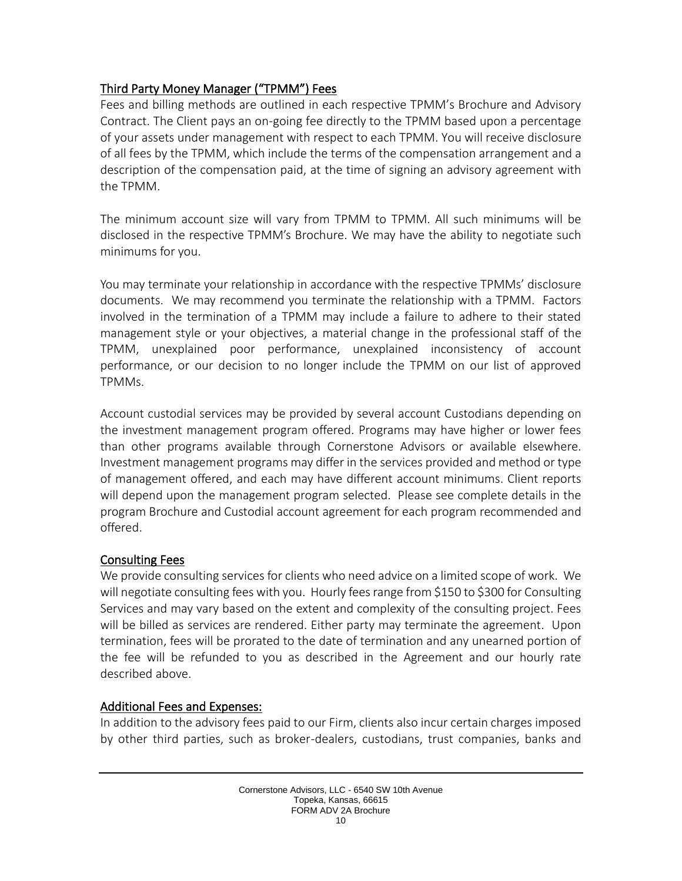# Third Party Money Manager ("TPMM") Fees

Fees and billing methods are outlined in each respective TPMM's Brochure and Advisory Contract. The Client pays an on-going fee directly to the TPMM based upon a percentage of your assets under management with respect to each TPMM. You will receive disclosure of all fees by the TPMM, which include the terms of the compensation arrangement and a description of the compensation paid, at the time of signing an advisory agreement with the TPMM.

The minimum account size will vary from TPMM to TPMM. All such minimums will be disclosed in the respective TPMM's Brochure. We may have the ability to negotiate such minimums for you.

You may terminate your relationship in accordance with the respective TPMMs' disclosure documents. We may recommend you terminate the relationship with a TPMM. Factors involved in the termination of a TPMM may include a failure to adhere to their stated management style or your objectives, a material change in the professional staff of the TPMM, unexplained poor performance, unexplained inconsistency of account performance, or our decision to no longer include the TPMM on our list of approved TPMMs.

Account custodial services may be provided by several account Custodians depending on the investment management program offered. Programs may have higher or lower fees than other programs available through Cornerstone Advisors or available elsewhere. Investment management programs may differ in the services provided and method or type of management offered, and each may have different account minimums. Client reports will depend upon the management program selected. Please see complete details in the program Brochure and Custodial account agreement for each program recommended and offered.

# Consulting Fees

We provide consulting services for clients who need advice on a limited scope of work. We will negotiate consulting fees with you. Hourly fees range from \$150 to \$300 for Consulting Services and may vary based on the extent and complexity of the consulting project. Fees will be billed as services are rendered. Either party may terminate the agreement. Upon termination, fees will be prorated to the date of termination and any unearned portion of the fee will be refunded to you as described in the Agreement and our hourly rate described above.

# Additional Fees and Expenses:

In addition to the advisory fees paid to our Firm, clients also incur certain charges imposed by other third parties, such as broker-dealers, custodians, trust companies, banks and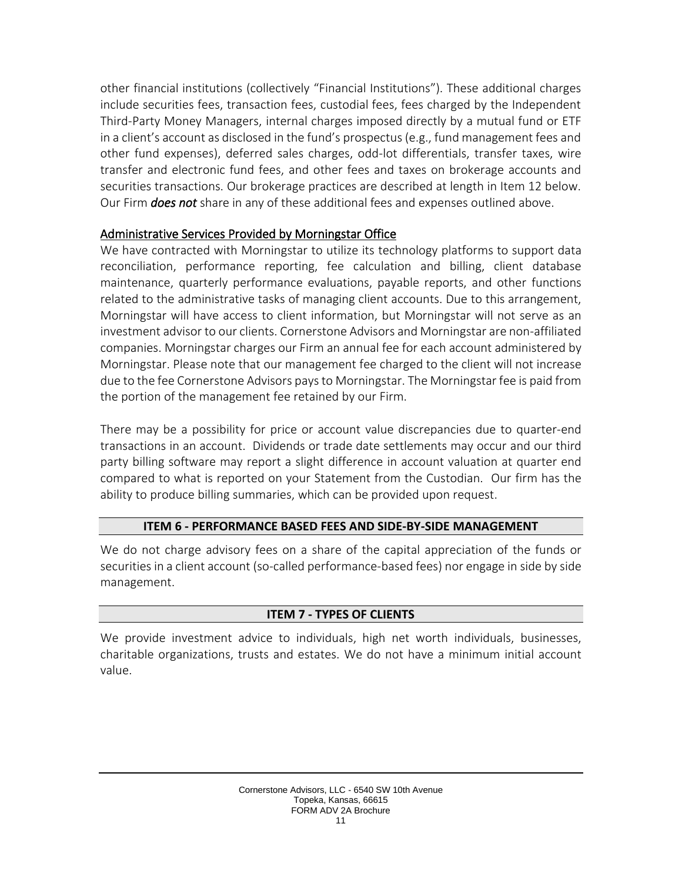other financial institutions (collectively "Financial Institutions"). These additional charges include securities fees, transaction fees, custodial fees, fees charged by the Independent Third-Party Money Managers, internal charges imposed directly by a mutual fund or ETF in a client's account as disclosed in the fund's prospectus (e.g., fund management fees and other fund expenses), deferred sales charges, odd-lot differentials, transfer taxes, wire transfer and electronic fund fees, and other fees and taxes on brokerage accounts and securities transactions. Our brokerage practices are described at length in Item 12 below. Our Firm *does not* share in any of these additional fees and expenses outlined above.

# Administrative Services Provided by Morningstar Office

We have contracted with Morningstar to utilize its technology platforms to support data reconciliation, performance reporting, fee calculation and billing, client database maintenance, quarterly performance evaluations, payable reports, and other functions related to the administrative tasks of managing client accounts. Due to this arrangement, Morningstar will have access to client information, but Morningstar will not serve as an investment advisor to our clients. Cornerstone Advisors and Morningstar are non-affiliated companies. Morningstar charges our Firm an annual fee for each account administered by Morningstar. Please note that our management fee charged to the client will not increase due to the fee Cornerstone Advisors paysto Morningstar. The Morningstar fee is paid from the portion of the management fee retained by our Firm.

There may be a possibility for price or account value discrepancies due to quarter-end transactions in an account. Dividends or trade date settlements may occur and our third party billing software may report a slight difference in account valuation at quarter end compared to what is reported on your Statement from the Custodian. Our firm has the ability to produce billing summaries, which can be provided upon request.

### **ITEM 6 - PERFORMANCE BASED FEES AND SIDE-BY-SIDE MANAGEMENT**

<span id="page-10-0"></span>We do not charge advisory fees on a share of the capital appreciation of the funds or securities in a client account (so-called performance-based fees) nor engage in side by side management.

# **ITEM 7 - TYPES OF CLIENTS**

<span id="page-10-1"></span>We provide investment advice to individuals, high net worth individuals, businesses, charitable organizations, trusts and estates. We do not have a minimum initial account value.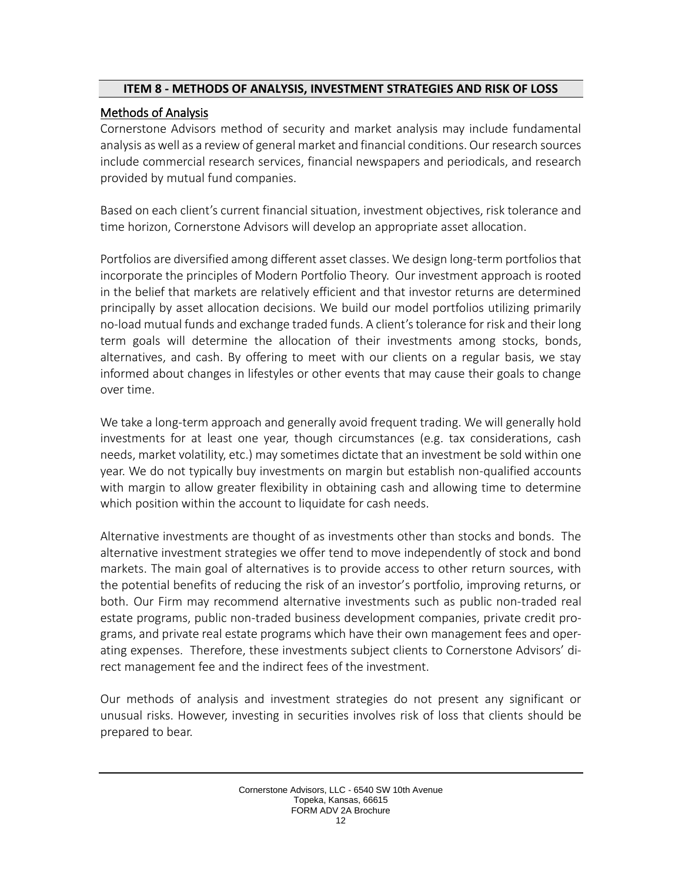### <span id="page-11-0"></span>**ITEM 8 - METHODS OF ANALYSIS, INVESTMENT STRATEGIES AND RISK OF LOSS**

# Methods of Analysis

Cornerstone Advisors method of security and market analysis may include fundamental analysis as well as a review of general market and financial conditions. Our research sources include commercial research services, financial newspapers and periodicals, and research provided by mutual fund companies.

Based on each client's current financial situation, investment objectives, risk tolerance and time horizon, Cornerstone Advisors will develop an appropriate asset allocation.

Portfolios are diversified among different asset classes. We design long-term portfolios that incorporate the principles of Modern Portfolio Theory. Our investment approach is rooted in the belief that markets are relatively efficient and that investor returns are determined principally by asset allocation decisions. We build our model portfolios utilizing primarily no-load mutual funds and exchange traded funds. A client's tolerance for risk and their long term goals will determine the allocation of their investments among stocks, bonds, alternatives, and cash. By offering to meet with our clients on a regular basis, we stay informed about changes in lifestyles or other events that may cause their goals to change over time.

We take a long-term approach and generally avoid frequent trading. We will generally hold investments for at least one year, though circumstances (e.g. tax considerations, cash needs, market volatility, etc.) may sometimes dictate that an investment be sold within one year. We do not typically buy investments on margin but establish non-qualified accounts with margin to allow greater flexibility in obtaining cash and allowing time to determine which position within the account to liquidate for cash needs.

Alternative investments are thought of as investments other than stocks and bonds. The alternative investment strategies we offer tend to move independently of stock and bond markets. The main goal of alternatives is to provide access to other return sources, with the potential benefits of reducing the risk of an investor's portfolio, improving returns, or both. Our Firm may recommend alternative investments such as public non-traded real estate programs, public non-traded business development companies, private credit programs, and private real estate programs which have their own management fees and operating expenses. Therefore, these investments subject clients to Cornerstone Advisors' direct management fee and the indirect fees of the investment.

Our methods of analysis and investment strategies do not present any significant or unusual risks. However, investing in securities involves risk of loss that clients should be prepared to bear.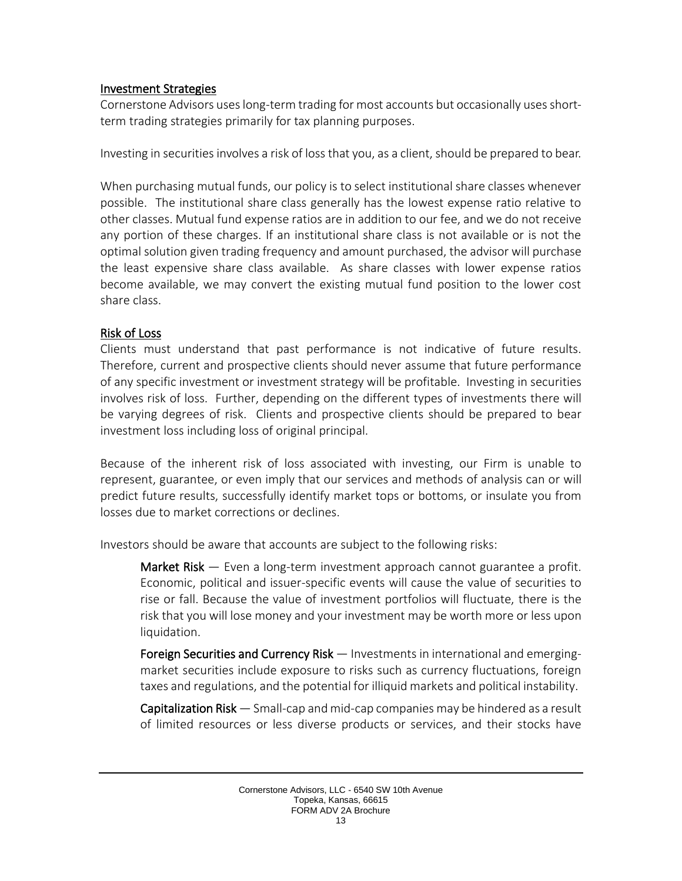### Investment Strategies

Cornerstone Advisors uses long-term trading for most accounts but occasionally uses shortterm trading strategies primarily for tax planning purposes.

Investing in securities involves a risk of loss that you, as a client, should be prepared to bear.

When purchasing mutual funds, our policy is to select institutional share classes whenever possible. The institutional share class generally has the lowest expense ratio relative to other classes. Mutual fund expense ratios are in addition to our fee, and we do not receive any portion of these charges. If an institutional share class is not available or is not the optimal solution given trading frequency and amount purchased, the advisor will purchase the least expensive share class available. As share classes with lower expense ratios become available, we may convert the existing mutual fund position to the lower cost share class.

# Risk of Loss

Clients must understand that past performance is not indicative of future results. Therefore, current and prospective clients should never assume that future performance of any specific investment or investment strategy will be profitable. Investing in securities involves risk of loss. Further, depending on the different types of investments there will be varying degrees of risk. Clients and prospective clients should be prepared to bear investment loss including loss of original principal.

Because of the inherent risk of loss associated with investing, our Firm is unable to represent, guarantee, or even imply that our services and methods of analysis can or will predict future results, successfully identify market tops or bottoms, or insulate you from losses due to market corrections or declines.

Investors should be aware that accounts are subject to the following risks:

Market Risk — Even a long-term investment approach cannot guarantee a profit. Economic, political and issuer-specific events will cause the value of securities to rise or fall. Because the value of investment portfolios will fluctuate, there is the risk that you will lose money and your investment may be worth more or less upon liquidation.

Foreign Securities and Currency Risk — Investments in international and emergingmarket securities include exposure to risks such as currency fluctuations, foreign taxes and regulations, and the potential for illiquid markets and political instability.

Capitalization Risk — Small-cap and mid-cap companies may be hindered as a result of limited resources or less diverse products or services, and their stocks have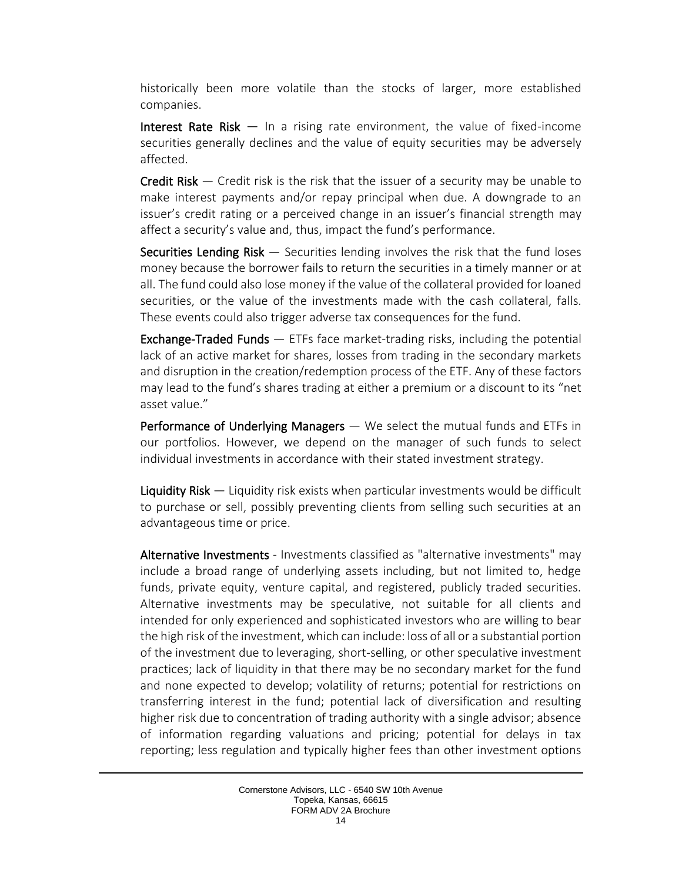historically been more volatile than the stocks of larger, more established companies.

Interest Rate Risk — In a rising rate environment, the value of fixed-income securities generally declines and the value of equity securities may be adversely affected.

**Credit Risk**  $-$  Credit risk is the risk that the issuer of a security may be unable to make interest payments and/or repay principal when due. A downgrade to an issuer's credit rating or a perceived change in an issuer's financial strength may affect a security's value and, thus, impact the fund's performance.

**Securities Lending Risk**  $-$  Securities lending involves the risk that the fund loses money because the borrower fails to return the securities in a timely manner or at all. The fund could also lose money if the value of the collateral provided for loaned securities, or the value of the investments made with the cash collateral, falls. These events could also trigger adverse tax consequences for the fund.

Exchange-Traded Funds — ETFs face market-trading risks, including the potential lack of an active market for shares, losses from trading in the secondary markets and disruption in the creation/redemption process of the ETF. Any of these factors may lead to the fund's shares trading at either a premium or a discount to its "net asset value."

Performance of Underlying Managers — We select the mutual funds and ETFs in our portfolios. However, we depend on the manager of such funds to select individual investments in accordance with their stated investment strategy.

Liquidity Risk — Liquidity risk exists when particular investments would be difficult to purchase or sell, possibly preventing clients from selling such securities at an advantageous time or price.

Alternative Investments - Investments classified as "alternative investments" may include a broad range of underlying assets including, but not limited to, hedge funds, private equity, venture capital, and registered, publicly traded securities. Alternative investments may be speculative, not suitable for all clients and intended for only experienced and sophisticated investors who are willing to bear the high risk of the investment, which can include: loss of all or a substantial portion of the investment due to leveraging, short-selling, or other speculative investment practices; lack of liquidity in that there may be no secondary market for the fund and none expected to develop; volatility of returns; potential for restrictions on transferring interest in the fund; potential lack of diversification and resulting higher risk due to concentration of trading authority with a single advisor; absence of information regarding valuations and pricing; potential for delays in tax reporting; less regulation and typically higher fees than other investment options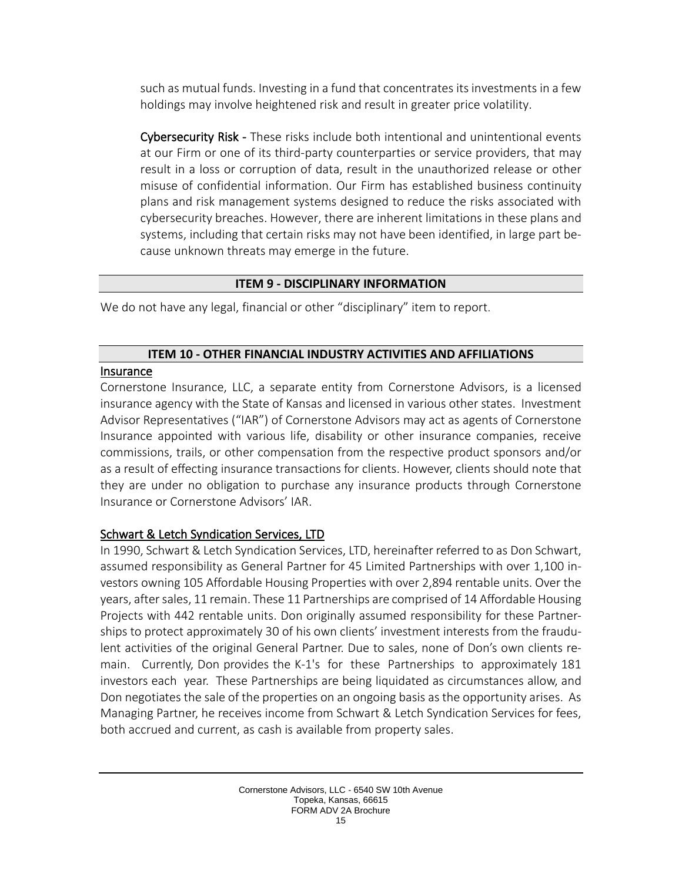such as mutual funds. Investing in a fund that concentrates its investments in a few holdings may involve heightened risk and result in greater price volatility.

Cybersecurity Risk - These risks include both intentional and unintentional events at our Firm or one of its third-party counterparties or service providers, that may result in a loss or corruption of data, result in the unauthorized release or other misuse of confidential information. Our Firm has established business continuity plans and risk management systems designed to reduce the risks associated with cybersecurity breaches. However, there are inherent limitations in these plans and systems, including that certain risks may not have been identified, in large part because unknown threats may emerge in the future.

### **ITEM 9 - DISCIPLINARY INFORMATION**

<span id="page-14-0"></span>We do not have any legal, financial or other "disciplinary" item to report.

### **ITEM 10 - OTHER FINANCIAL INDUSTRY ACTIVITIES AND AFFILIATIONS**

### <span id="page-14-1"></span>Insurance

Cornerstone Insurance, LLC, a separate entity from Cornerstone Advisors, is a licensed insurance agency with the State of Kansas and licensed in various other states. Investment Advisor Representatives ("IAR") of Cornerstone Advisors may act as agents of Cornerstone Insurance appointed with various life, disability or other insurance companies, receive commissions, trails, or other compensation from the respective product sponsors and/or as a result of effecting insurance transactions for clients. However, clients should note that they are under no obligation to purchase any insurance products through Cornerstone Insurance or Cornerstone Advisors' IAR.

# Schwart & Letch Syndication Services, LTD

In 1990, Schwart & Letch Syndication Services, LTD, hereinafter referred to as Don Schwart, assumed responsibility as General Partner for 45 Limited Partnerships with over 1,100 investors owning 105 Affordable Housing Properties with over 2,894 rentable units. Over the years, after sales, 11 remain. These 11 Partnerships are comprised of 14 Affordable Housing Projects with 442 rentable units. Don originally assumed responsibility for these Partnerships to protect approximately 30 of his own clients' investment interests from the fraudulent activities of the original General Partner. Due to sales, none of Don's own clients remain. Currently, Don provides the K-1's for these Partnerships to approximately 181 investors each year. These Partnerships are being liquidated as circumstances allow, and Don negotiates the sale of the properties on an ongoing basis as the opportunity arises. As Managing Partner, he receives income from Schwart & Letch Syndication Services for fees, both accrued and current, as cash is available from property sales.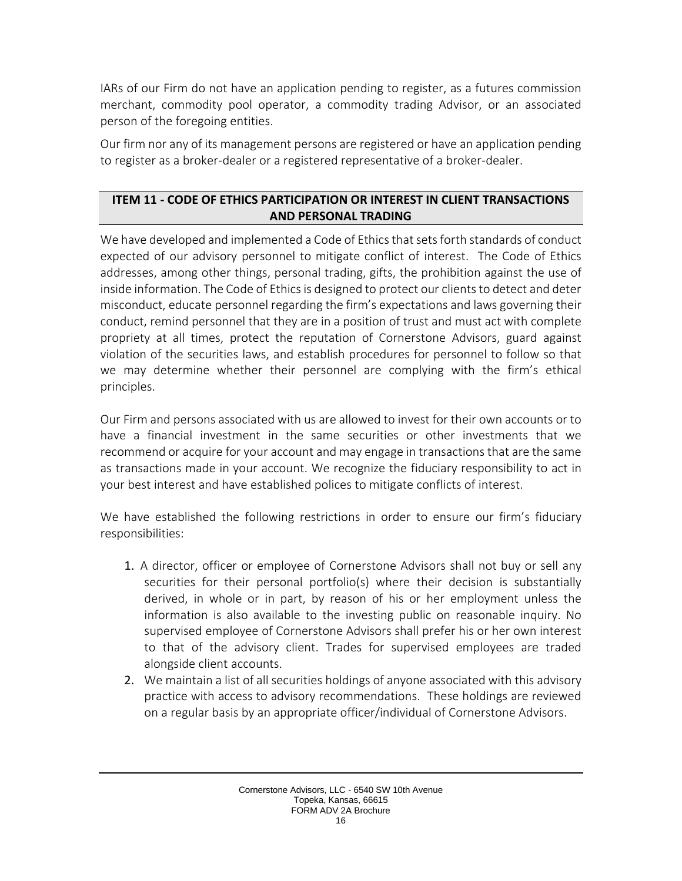IARs of our Firm do not have an application pending to register, as a futures commission merchant, commodity pool operator, a commodity trading Advisor, or an associated person of the foregoing entities.

Our firm nor any of its management persons are registered or have an application pending to register as a broker-dealer or a registered representative of a broker-dealer.

# <span id="page-15-0"></span>**ITEM 11 - CODE OF ETHICS PARTICIPATION OR INTEREST IN CLIENT TRANSACTIONS AND PERSONAL TRADING**

We have developed and implemented a Code of Ethics that sets forth standards of conduct expected of our advisory personnel to mitigate conflict of interest. The Code of Ethics addresses, among other things, personal trading, gifts, the prohibition against the use of inside information. The Code of Ethics is designed to protect our clients to detect and deter misconduct, educate personnel regarding the firm's expectations and laws governing their conduct, remind personnel that they are in a position of trust and must act with complete propriety at all times, protect the reputation of Cornerstone Advisors, guard against violation of the securities laws, and establish procedures for personnel to follow so that we may determine whether their personnel are complying with the firm's ethical principles.

Our Firm and persons associated with us are allowed to invest for their own accounts or to have a financial investment in the same securities or other investments that we recommend or acquire for your account and may engage in transactions that are the same as transactions made in your account. We recognize the fiduciary responsibility to act in your best interest and have established polices to mitigate conflicts of interest.

We have established the following restrictions in order to ensure our firm's fiduciary responsibilities:

- 1. A director, officer or employee of Cornerstone Advisors shall not buy or sell any securities for their personal portfolio(s) where their decision is substantially derived, in whole or in part, by reason of his or her employment unless the information is also available to the investing public on reasonable inquiry. No supervised employee of Cornerstone Advisors shall prefer his or her own interest to that of the advisory client. Trades for supervised employees are traded alongside client accounts.
- 2. We maintain a list of all securities holdings of anyone associated with this advisory practice with access to advisory recommendations. These holdings are reviewed on a regular basis by an appropriate officer/individual of Cornerstone Advisors.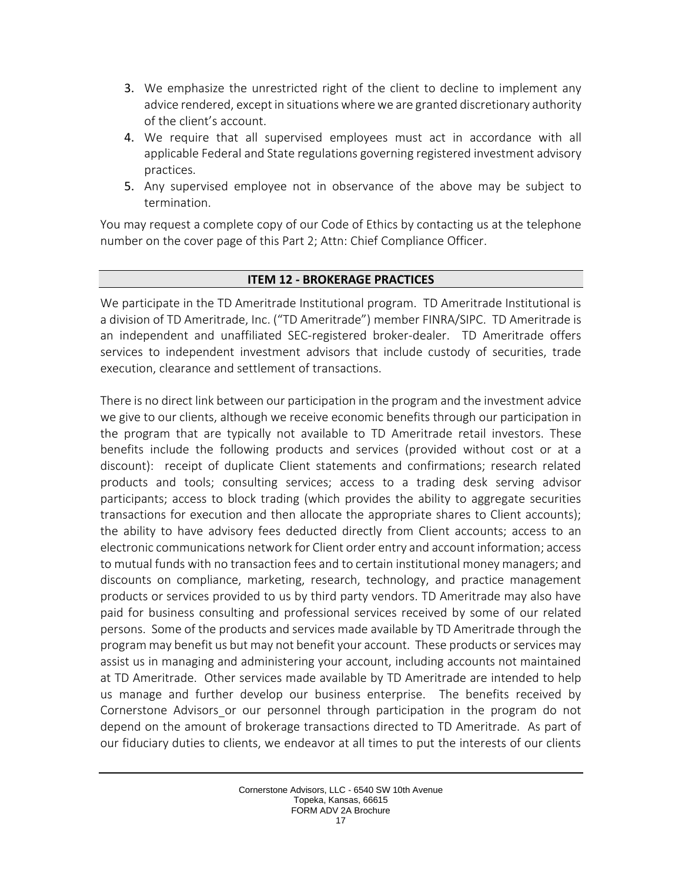- 3. We emphasize the unrestricted right of the client to decline to implement any advice rendered, except in situationswherewe are granted discretionary authority of the client's account.
- 4. We require that all supervised employees must act in accordance with all applicable Federal and State regulations governing registered investment advisory practices.
- 5. Any supervised employee not in observance of the above may be subject to termination.

You may request a complete copy of our Code of Ethics by contacting us at the telephone number on the cover page of this Part 2; Attn: Chief Compliance Officer.

### **ITEM 12 - BROKERAGE PRACTICES**

<span id="page-16-0"></span>We participate in the TD Ameritrade Institutional program. TD Ameritrade Institutional is a division of TD Ameritrade, Inc. ("TD Ameritrade") member FINRA/SIPC. TD Ameritrade is an independent and unaffiliated SEC-registered broker-dealer. TD Ameritrade offers services to independent investment advisors that include custody of securities, trade execution, clearance and settlement of transactions.

There is no direct link between our participation in the program and the investment advice we give to our clients, although we receive economic benefits through our participation in the program that are typically not available to TD Ameritrade retail investors. These benefits include the following products and services (provided without cost or at a discount): receipt of duplicate Client statements and confirmations; research related products and tools; consulting services; access to a trading desk serving advisor participants; access to block trading (which provides the ability to aggregate securities transactions for execution and then allocate the appropriate shares to Client accounts); the ability to have advisory fees deducted directly from Client accounts; access to an electronic communications network for Client order entry and account information; access to mutual funds with no transaction fees and to certain institutional money managers; and discounts on compliance, marketing, research, technology, and practice management products or services provided to us by third party vendors. TD Ameritrade may also have paid for business consulting and professional services received by some of our related persons. Some of the products and services made available by TD Ameritrade through the program may benefit us but may not benefit your account. These products or services may assist us in managing and administering your account, including accounts not maintained at TD Ameritrade. Other services made available by TD Ameritrade are intended to help us manage and further develop our business enterprise. The benefits received by Cornerstone Advisors or our personnel through participation in the program do not depend on the amount of brokerage transactions directed to TD Ameritrade. As part of our fiduciary duties to clients, we endeavor at all times to put the interests of our clients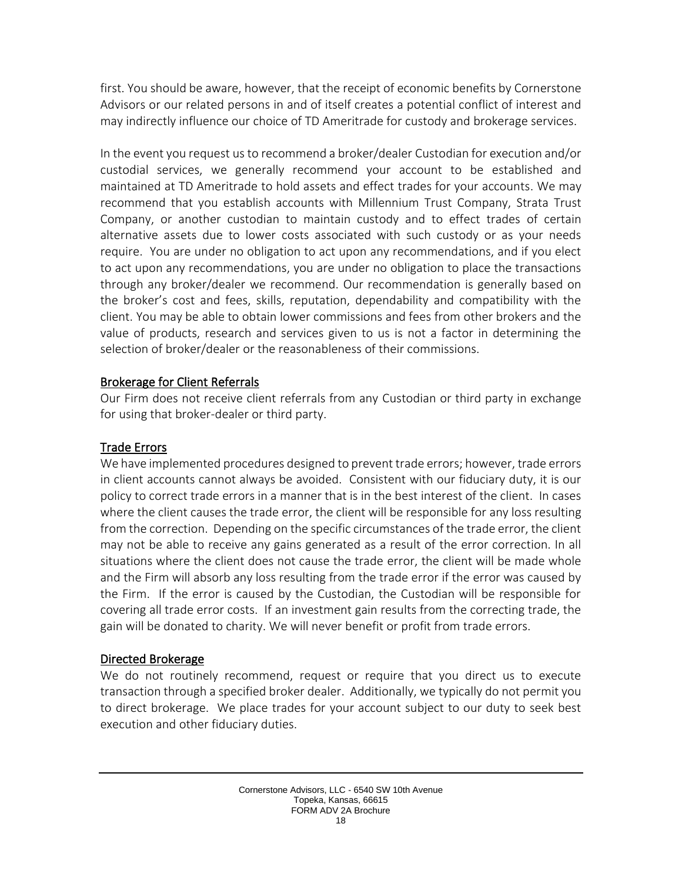first. You should be aware, however, that the receipt of economic benefits by Cornerstone Advisors or our related persons in and of itself creates a potential conflict of interest and may indirectly influence our choice of TD Ameritrade for custody and brokerage services.

In the event you request us to recommend a broker/dealer Custodian for execution and/or custodial services, we generally recommend your account to be established and maintained at TD Ameritrade to hold assets and effect trades for your accounts. We may recommend that you establish accounts with Millennium Trust Company, Strata Trust Company, or another custodian to maintain custody and to effect trades of certain alternative assets due to lower costs associated with such custody or as your needs require. You are under no obligation to act upon any recommendations, and if you elect to act upon any recommendations, you are under no obligation to place the transactions through any broker/dealer we recommend. Our recommendation is generally based on the broker's cost and fees, skills, reputation, dependability and compatibility with the client. You may be able to obtain lower commissions and fees from other brokers and the value of products, research and services given to us is not a factor in determining the selection of broker/dealer or the reasonableness of their commissions.

### Brokerage for Client Referrals

Our Firm does not receive client referrals from any Custodian or third party in exchange for using that broker-dealer or third party.

# Trade Errors

We have implemented procedures designed to prevent trade errors; however, trade errors in client accounts cannot always be avoided. Consistent with our fiduciary duty, it is our policy to correct trade errors in a manner that is in the best interest of the client. In cases where the client causes the trade error, the client will be responsible for any loss resulting from the correction. Depending on the specific circumstances of the trade error, the client may not be able to receive any gains generated as a result of the error correction. In all situations where the client does not cause the trade error, the client will be made whole and the Firm will absorb any loss resulting from the trade error if the error was caused by the Firm. If the error is caused by the Custodian, the Custodian will be responsible for covering all trade error costs. If an investment gain results from the correcting trade, the gain will be donated to charity. We will never benefit or profit from trade errors.

### Directed Brokerage

We do not routinely recommend, request or require that you direct us to execute transaction through a specified broker dealer. Additionally, we typically do not permit you to direct brokerage. We place trades for your account subject to our duty to seek best execution and other fiduciary duties.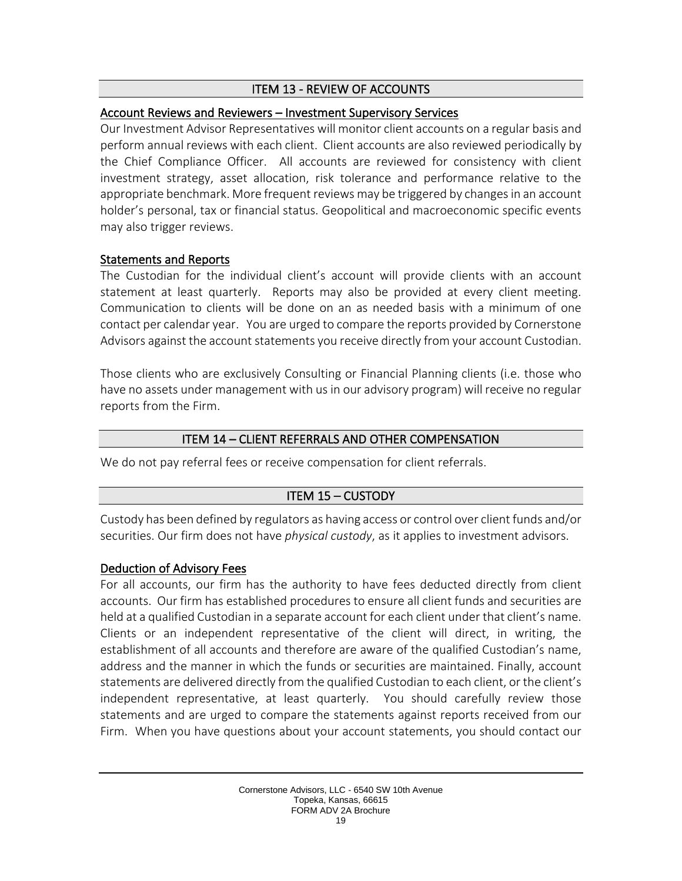### ITEM 13 - REVIEW OF ACCOUNTS

### <span id="page-18-0"></span>Account Reviews and Reviewers – Investment Supervisory Services

Our Investment Advisor Representatives will monitor client accounts on a regular basis and perform annual reviews with each client. Client accounts are also reviewed periodically by the Chief Compliance Officer. All accounts are reviewed for consistency with client investment strategy, asset allocation, risk tolerance and performance relative to the appropriate benchmark. More frequent reviews may be triggered by changes in an account holder's personal, tax or financial status. Geopolitical and macroeconomic specific events may also trigger reviews.

### Statements and Reports

The Custodian for the individual client's account will provide clients with an account statement at least quarterly. Reports may also be provided at every client meeting. Communication to clients will be done on an as needed basis with a minimum of one contact per calendar year. You are urged to compare the reports provided by Cornerstone Advisors against the account statements you receive directly from your account Custodian.

Those clients who are exclusively Consulting or Financial Planning clients (i.e. those who have no assets under management with us in our advisory program) will receive no regular reports from the Firm.

### ITEM 14 – CLIENT REFERRALS AND OTHER COMPENSATION

<span id="page-18-1"></span>We do not pay referral fees or receive compensation for client referrals.

# ITEM 15 – CUSTODY

<span id="page-18-2"></span>Custody has been defined by regulators as having access or control over client funds and/or securities. Our firm does not have *physical custody*, as it applies to investment advisors.

### Deduction of Advisory Fees

For all accounts, our firm has the authority to have fees deducted directly from client accounts. Our firm has established procedures to ensure all client funds and securities are held at a qualified Custodian in a separate account for each client under that client's name. Clients or an independent representative of the client will direct, in writing, the establishment of all accounts and therefore are aware of the qualified Custodian's name, address and the manner in which the funds or securities are maintained. Finally, account statements are delivered directly from the qualified Custodian to each client, or the client's independent representative, at least quarterly. You should carefully review those statements and are urged to compare the statements against reports received from our Firm. When you have questions about your account statements, you should contact our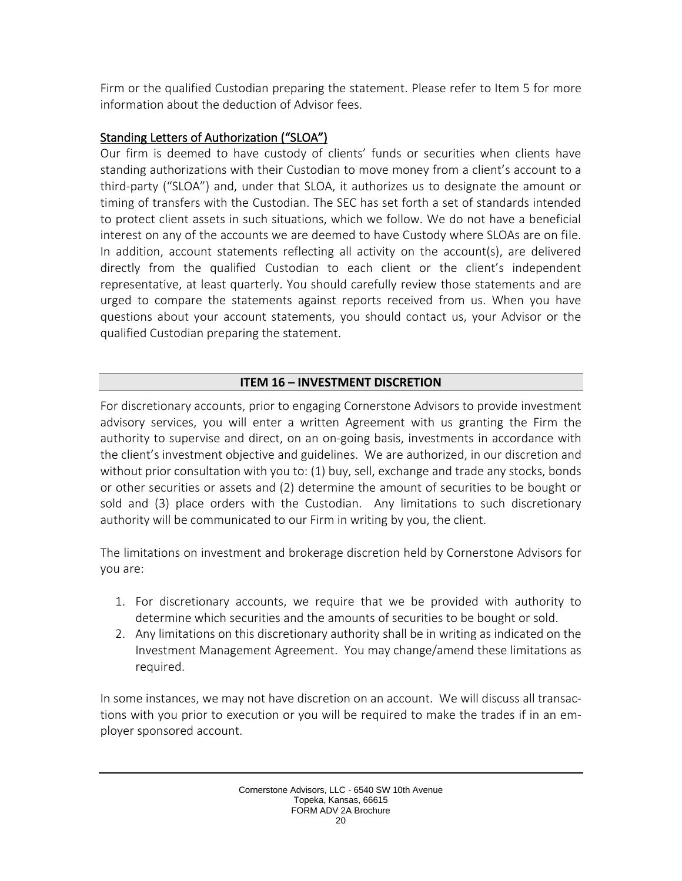Firm or the qualified Custodian preparing the statement. Please refer to Item 5 for more information about the deduction of Advisor fees.

# Standing Letters of Authorization ("SLOA")

Our firm is deemed to have custody of clients' funds or securities when clients have standing authorizations with their Custodian to move money from a client's account to a third-party ("SLOA") and, under that SLOA, it authorizes us to designate the amount or timing of transfers with the Custodian. The SEC has set forth a set of standards intended to protect client assets in such situations, which we follow. We do not have a beneficial interest on any of the accounts we are deemed to have Custody where SLOAs are on file. In addition, account statements reflecting all activity on the account(s), are delivered directly from the qualified Custodian to each client or the client's independent representative, at least quarterly. You should carefully review those statements and are urged to compare the statements against reports received from us. When you have questions about your account statements, you should contact us, your Advisor or the qualified Custodian preparing the statement.

# **ITEM 16 – INVESTMENT DISCRETION**

<span id="page-19-0"></span>For discretionary accounts, prior to engaging Cornerstone Advisors to provide investment advisory services, you will enter a written Agreement with us granting the Firm the authority to supervise and direct, on an on-going basis, investments in accordance with the client's investment objective and guidelines. We are authorized, in our discretion and without prior consultation with you to: (1) buy, sell, exchange and trade any stocks, bonds or other securities or assets and (2) determine the amount of securities to be bought or sold and (3) place orders with the Custodian. Any limitations to such discretionary authority will be communicated to our Firm in writing by you, the client.

The limitations on investment and brokerage discretion held by Cornerstone Advisors for you are:

- 1. For discretionary accounts, we require that we be provided with authority to determine which securities and the amounts of securities to be bought or sold.
- 2. Any limitations on this discretionary authority shall be in writing as indicated on the Investment Management Agreement. You may change/amend these limitations as required.

In some instances, we may not have discretion on an account. We will discuss all transactions with you prior to execution or you will be required to make the trades if in an employer sponsored account.